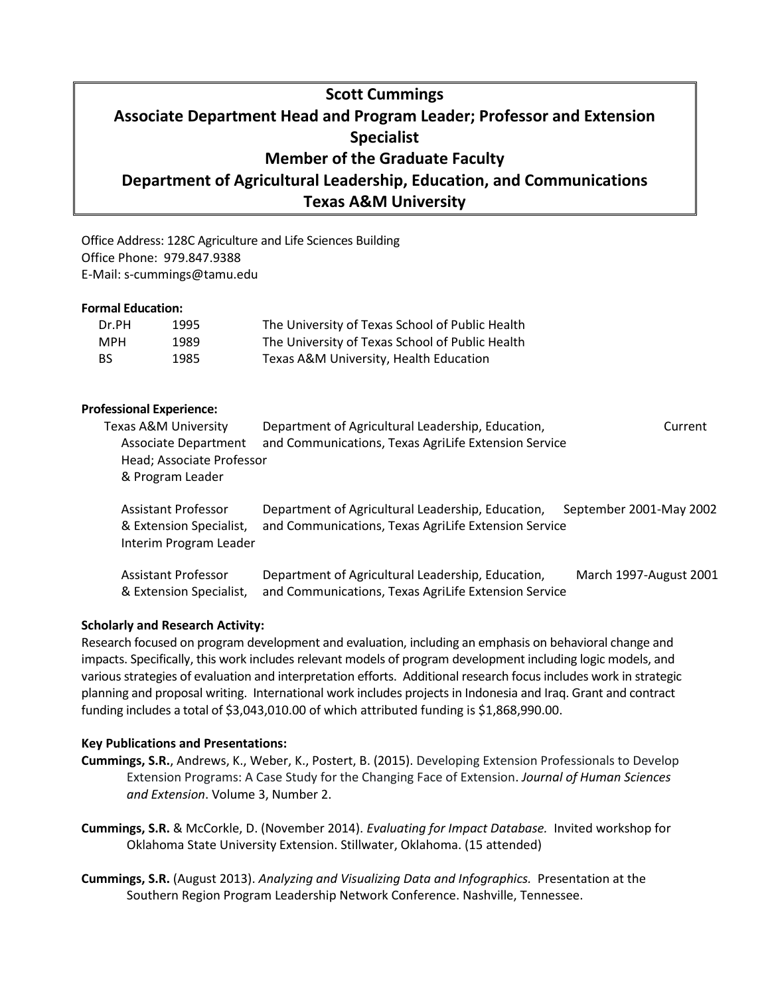# **Scott Cummings Associate Department Head and Program Leader; Professor and Extension Specialist Member of the Graduate Faculty Department of Agricultural Leadership, Education, and Communications Texas A&M University**

Office Address: 128C Agriculture and Life Sciences Building Office Phone: 979.847.9388 E-Mail: s-cummings@tamu.edu

## **Formal Education:**

| Dr.PH     | 1995 | The University of Texas School of Public Health |
|-----------|------|-------------------------------------------------|
| MPH       | 1989 | The University of Texas School of Public Health |
| <b>BS</b> | 1985 | Texas A&M University, Health Education          |

## **Professional Experience:**

| Texas A&M University        | Department of Agricultural Leadership, Education,    | Current                 |
|-----------------------------|------------------------------------------------------|-------------------------|
| <b>Associate Department</b> | and Communications, Texas AgriLife Extension Service |                         |
| Head; Associate Professor   |                                                      |                         |
| & Program Leader            |                                                      |                         |
|                             |                                                      |                         |
| <b>Assistant Professor</b>  | Department of Agricultural Leadership, Education,    | September 2001-May 2002 |
| & Extension Specialist,     | and Communications, Texas AgriLife Extension Service |                         |
|                             |                                                      |                         |
| Interim Program Leader      |                                                      |                         |
|                             |                                                      |                         |

Assistant Professor Department of Agricultural Leadership, Education, March 1997-August 2001 & Extension Specialist, and Communications, Texas AgriLife Extension Service

# **Scholarly and Research Activity:**

Research focused on program development and evaluation, including an emphasis on behavioral change and impacts. Specifically, this work includes relevant models of program development including logic models, and various strategies of evaluation and interpretation efforts. Additional research focus includes work in strategic planning and proposal writing. International work includes projects in Indonesia and Iraq. Grant and contract funding includes a total of \$3,043,010.00 of which attributed funding is \$1,868,990.00.

## **Key Publications and Presentations:**

- **Cummings, S.R.**, Andrews, K., Weber, K., Postert, B. (2015). Developing Extension Professionals to Develop Extension Programs: A Case Study for the Changing Face of Extension. *Journal of Human Sciences and Extension*. Volume 3, Number 2.
- **Cummings, S.R.** & McCorkle, D. (November 2014). *Evaluating for Impact Database.* Invited workshop for Oklahoma State University Extension. Stillwater, Oklahoma. (15 attended)
- **Cummings, S.R.** (August 2013). *Analyzing and Visualizing Data and Infographics.* Presentation at the Southern Region Program Leadership Network Conference. Nashville, Tennessee.